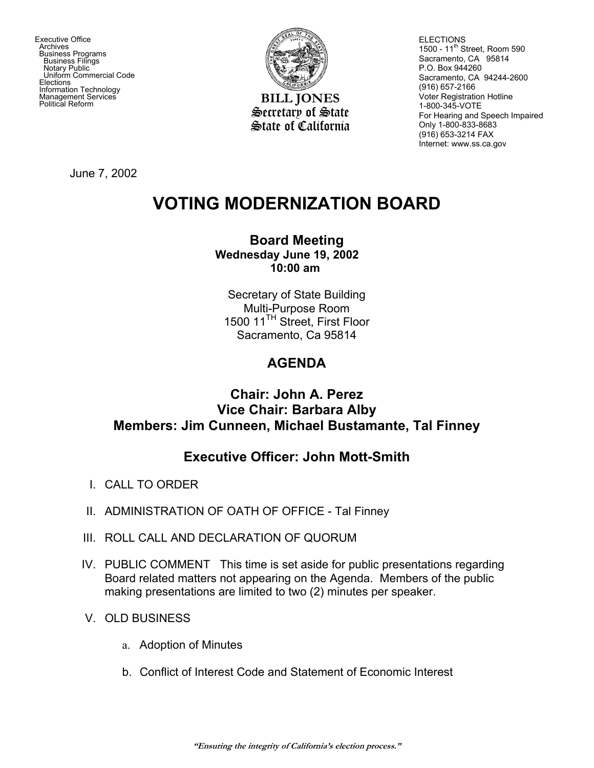Executive Office **Archives**  Business Programs Business Filings Notary Public Uniform Commercial Code **Elections**  Information Technology Management Services<br>Political Reform



**BILL JONES** Secretary of State State of California **ELECTIONS** 1500 - 11<sup>th</sup> Street, Room 590 Sacramento, CA 95814 P.O. Box 944260 Sacramento, CA 94244-2600 (916) 657-2166 Voter Registration Hotline 1-800-345-VOTE For Hearing and Speech Impaired Only 1-800-833-8683 (916) 653-3214 FAX Internet: www.ss.ca.gov

June 7, 2002

# **VOTING MODERNIZATION BOARD**

#### **Board Meeting Wednesday June 19, 2002 10:00 am**

Secretary of State Building Multi-Purpose Room 1500 11<sup>TH</sup> Street, First Floor Sacramento, Ca 95814

## **AGENDA**

### **Chair: John A. Perez Vice Chair: Barbara Alby Members: Jim Cunneen, Michael Bustamante, Tal Finney**

## **Executive Officer: John Mott-Smith**

- I. CALL TO ORDER
- II. ADMINISTRATION OF OATH OF OFFICE Tal Finney
- III. ROLL CALL AND DECLARATION OF QUORUM
- IV. PUBLIC COMMENT This time is set aside for public presentations regarding Board related matters not appearing on the Agenda. Members of the public making presentations are limited to two (2) minutes per speaker.
- V. OLD BUSINESS
	- a. Adoption of Minutes
	- b. Conflict of Interest Code and Statement of Economic Interest